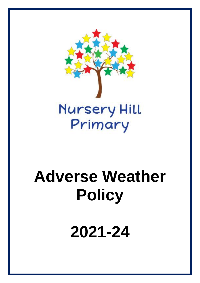

# **Adverse Weather Policy**

**2021-24**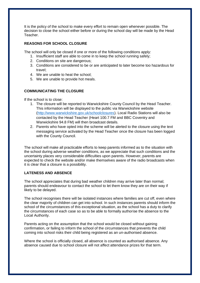It is the policy of the school to make every effort to remain open whenever possible. The decision to close the school either before or during the school day will be made by the Head Teacher.

# **REASONS FOR SCHOOL CLOSURE**

The school will only be closed if one or more of the following conditions apply:

- 1. Insufficient staff are able to come in to keep the school running safely;
- 2. Conditions on site are dangerous;
- 3. Conditions are considered to be or are anticipated to later become too hazardous for travel;
- 4. We are unable to heat the school;
- 5. We are unable to provide hot meals.

# **COMMUNICATING THE CLOSURE**

If the school is to close:

- 1. The closure will be reported to Warwickshire County Council by the Head Teacher. This information will be displayed to the public via Warwickshire website [\(http://www.warwickshire.gov.uk/schoolclosures\)](http://www.warwickshire.gov.uk/schoolclosures). Local Radio Stations will also be contacted by the Head Teacher (Heart 100.7 FM and BBC Coventry and Warwickshire 94.8 FM) will then broadcast details.
- 2. Parents who have opted into the scheme will be alerted to the closure using the text messaging service activated by the Head Teacher once the closure has been logged with the County Council.

The school will make all practicable efforts to keep parents informed as to the situation with the school during adverse weather conditions, as we appreciate that such conditions and the uncertainty places very considerable difficulties upon parents. However, parents are expected to check the website and/or make themselves aware of the radio broadcasts when it is clear that a closure is a possibility.

# **LATENESS AND ABSENCE**

The school appreciates that during bad weather children may arrive later than normal; parents should endeavour to contact the school to let them know they are on their way if likely to be delayed.

The school recognises there will be isolated instances where families are cut off, even where the clear majority of children can get into school. In such instances parents should inform the school of the circumstances of this exceptional situation, as the school has a duty to clarify the circumstances of each case so as to be able to formally authorise the absence to the Local Authority.

Parents acting on the assumption that the school would be closed without gaining confirmation, or failing to inform the school of the circumstances that prevents the child coming into school risks their child being registered as an un-authorised absence.

Where the school is officially closed, all absence is counted as authorised absence. Any absence caused due to school closure will not affect attendance prizes for that term.